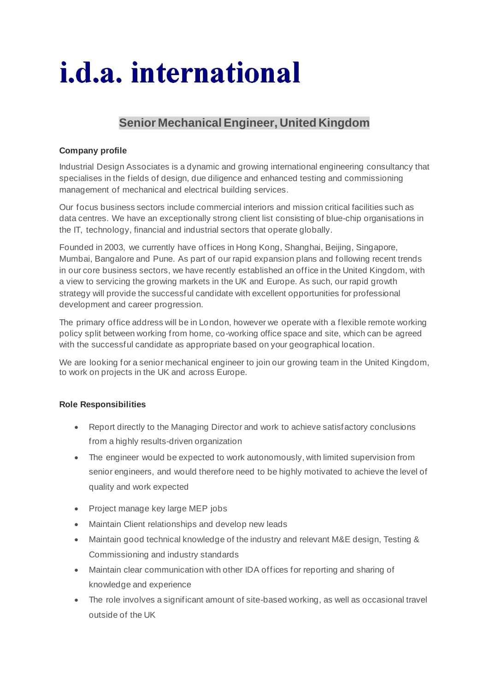# *i.d.a.* international

# **Senior MechanicalEngineer, United Kingdom**

## **Company profile**

Industrial Design Associates is a dynamic and growing international engineering consultancy that specialises in the fields of design, due diligence and enhanced testing and commissioning management of mechanical and electrical building services.

Our focus business sectors include commercial interiors and mission critical facilities such as data centres. We have an exceptionally strong client list consisting of blue-chip organisations in the IT, technology, financial and industrial sectors that operate globally.

Founded in 2003, we currently have offices in Hong Kong, Shanghai, Beijing, Singapore, Mumbai, Bangalore and Pune. As part of our rapid expansion plans and following recent trends in our core business sectors, we have recently established an office in the United Kingdom, with a view to servicing the growing markets in the UK and Europe. As such, our rapid growth strategy will provide the successful candidate with excellent opportunities for professional development and career progression.

The primary office address will be in London, however we operate with a flexible remote working policy split between working from home, co-working office space and site, which can be agreed with the successful candidate as appropriate based on your geographical location.

We are looking for a senior mechanical engineer to join our growing team in the United Kingdom, to work on projects in the UK and across Europe.

### **Role Responsibilities**

- Report directly to the Managing Director and work to achieve satisfactory conclusions from a highly results-driven organization
- The engineer would be expected to work autonomously, with limited supervision from senior engineers, and would therefore need to be highly motivated to achieve the level of quality and work expected
- Project manage key large MEP jobs
- Maintain Client relationships and develop new leads
- Maintain good technical knowledge of the industry and relevant M&E design, Testing & Commissioning and industry standards
- Maintain clear communication with other IDA offices for reporting and sharing of knowledge and experience
- The role involves a significant amount of site-based working, as well as occasional travel outside of the UK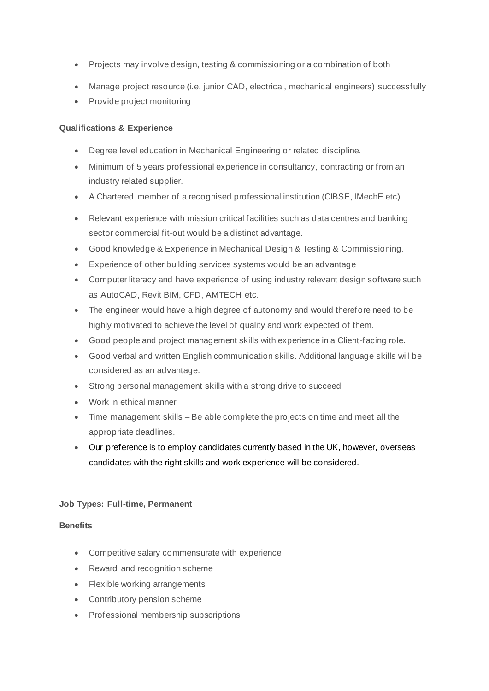- Projects may involve design, testing & commissioning or a combination of both
- Manage project resource (i.e. junior CAD, electrical, mechanical engineers) successfully
- Provide project monitoring

### **Qualifications & Experience**

- Degree level education in Mechanical Engineering or related discipline.
- Minimum of 5 years professional experience in consultancy, contracting or from an industry related supplier.
- A Chartered member of a recognised professional institution (CIBSE, IMechE etc).
- Relevant experience with mission critical facilities such as data centres and banking sector commercial fit-out would be a distinct advantage.
- Good knowledge & Experience in Mechanical Design & Testing & Commissioning.
- Experience of other building services systems would be an advantage
- Computer literacy and have experience of using industry relevant design software such as AutoCAD, Revit BIM, CFD, AMTECH etc.
- The engineer would have a high degree of autonomy and would therefore need to be highly motivated to achieve the level of quality and work expected of them.
- Good people and project management skills with experience in a Client-facing role.
- Good verbal and written English communication skills. Additional language skills will be considered as an advantage.
- Strong personal management skills with a strong drive to succeed
- Work in ethical manner
- Time management skills Be able complete the projects on time and meet all the appropriate deadlines.
- Our preference is to employ candidates currently based in the UK, however, overseas candidates with the right skills and work experience will be considered.

### **Job Types: Full-time, Permanent**

#### **Benefits**

- Competitive salary commensurate with experience
- Reward and recognition scheme
- Flexible working arrangements
- Contributory pension scheme
- Professional membership subscriptions